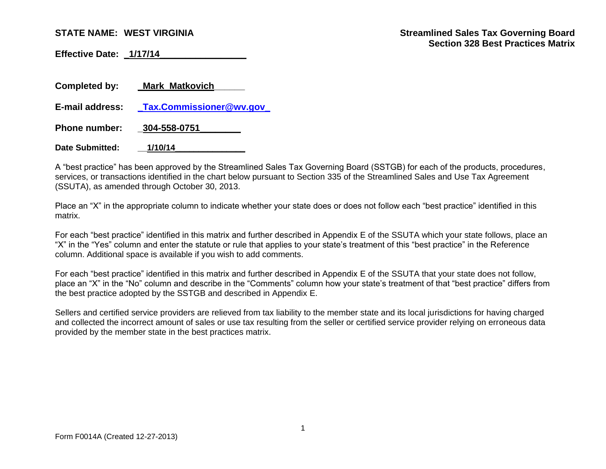**Effective Date: \_1/17/14\_\_\_\_\_\_\_\_\_\_\_\_\_\_\_\_\_**

| <b>Completed by:</b>   | <b>Mark Matkovich</b>          |
|------------------------|--------------------------------|
| E-mail address:        | <b>Tax.Commissioner@wv.gov</b> |
| <b>Phone number:</b>   | 304-558-0751                   |
| <b>Date Submitted:</b> | 1/10/14                        |

A "best practice" has been approved by the Streamlined Sales Tax Governing Board (SSTGB) for each of the products, procedures, services, or transactions identified in the chart below pursuant to Section 335 of the Streamlined Sales and Use Tax Agreement (SSUTA), as amended through October 30, 2013.

Place an "X" in the appropriate column to indicate whether your state does or does not follow each "best practice" identified in this matrix.

For each "best practice" identified in this matrix and further described in Appendix E of the SSUTA which your state follows, place an "X" in the "Yes" column and enter the statute or rule that applies to your state's treatment of this "best practice" in the Reference column. Additional space is available if you wish to add comments.

For each "best practice" identified in this matrix and further described in Appendix E of the SSUTA that your state does not follow, place an "X" in the "No" column and describe in the "Comments" column how your state's treatment of that "best practice" differs from the best practice adopted by the SSTGB and described in Appendix E.

Sellers and certified service providers are relieved from tax liability to the member state and its local jurisdictions for having charged and collected the incorrect amount of sales or use tax resulting from the seller or certified service provider relying on erroneous data provided by the member state in the best practices matrix.